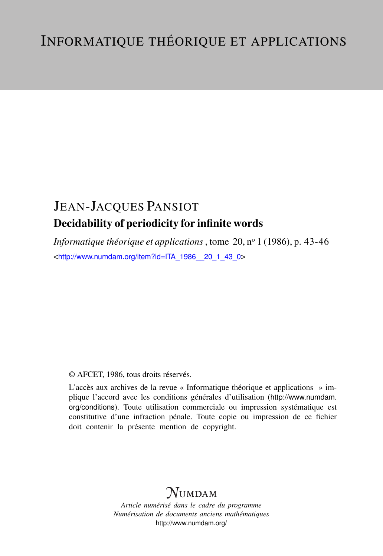# JEAN-JACQUES PANSIOT Decidability of periodicity for infinite words

*Informatique théorique et applications*, tome 20, nº 1 (1986), p. 43-46 <[http://www.numdam.org/item?id=ITA\\_1986\\_\\_20\\_1\\_43\\_0](http://www.numdam.org/item?id=ITA_1986__20_1_43_0)>

### © AFCET, 1986, tous droits réservés.

L'accès aux archives de la revue « Informatique théorique et applications » implique l'accord avec les conditions générales d'utilisation ([http://www.numdam.](http://www.numdam.org/conditions) [org/conditions](http://www.numdam.org/conditions)). Toute utilisation commerciale ou impression systématique est constitutive d'une infraction pénale. Toute copie ou impression de ce fichier doit contenir la présente mention de copyright.

# $N$ UMDAM

*Article numérisé dans le cadre du programme Numérisation de documents anciens mathématiques* <http://www.numdam.org/>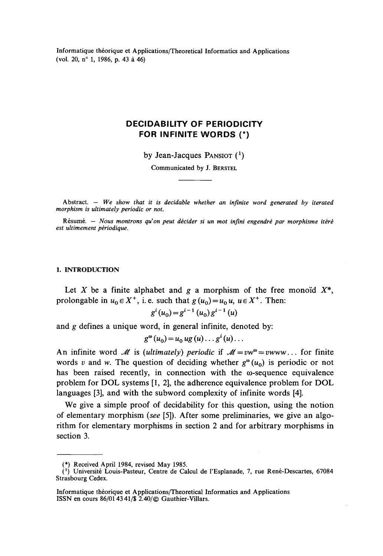Informatique théorique et Applications/Theoretical Informaties and Applications (vol. 20, n° 1, 1986, p. 43 à 46)

## **DECIDABILITY OF PERIODICITY FOR INFINITE WORDS (\*)**

by Jean-Jacques PANSIOT  $(1)$ 

Communicated by J. BERSTEL

Abstract. — *We show that it is decidable whether an infinité word gênerated by iterated morphism is ultimately periodic or not.*

Résumé. — *Nous montrons qu'on peut décider si un mot infini engendré par morphisme itéré est uitimement périodique.*

#### **1. INTRODUCTION**

Let X be a finite alphabet and  $g$  a morphism of the free monoïd  $X^*$ , prolongable in  $u_0 \in X^+$ , i.e. such that  $g(u_0) = u_0 u$ ,  $u \in X^+$ . Then:

$$
g^{i}(u_{0})=g^{i-1}(u_{0})g^{i-1}(u)
$$

and *g* defines a unique word, in general infinite, denoted by:

$$
g^{\omega}(u_0) = u_0 ug(u) \dots g^i(u) \dots
$$

An infinite word M is (ultimately) periodic if  $M = vw^{\omega} = vwww...$  for finite words v and w. The question of deciding whether  $g^{\omega}(u_0)$  is periodic or not has been raised recently, in connection with the  $\omega$ -sequence equivalence problem for DOL systems [1, 2], the adherence equivalence problem for DOL languages [3], and with the subword complexity of infinité words [4].

We give a simple proof of decidability for this question, using the notion of elementary morphism *(see* [5]). After some preliminaries, we give an algorithm for elementary morphisms in section 2 and for arbitrary morphisms in section 3.

<sup>(\*)</sup> Received April 1984, revised May 1985.

*l 1 )* Université Louis-Pasteur, Centre de Calcul de l'Esplanade, 7, rue René-Descartes, 67084 Strasbourg Cedex.

Informatique théorique et Applications/Theoretical Informaties and Applications ISSN en cours  $86/014341/\sqrt{2}$ . 40/ $\odot$  Gauthier-Villars.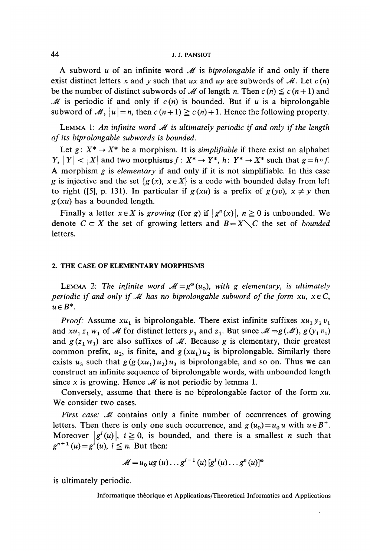#### **44** J. J. PANSIOT

A subword  $u$  of an infinite word  $M$  is *biprolongable* if and only if there exist distinct letters x and y such that ux and uy are subwords of  $\mathcal{M}$ . Let  $c(n)$ be the number of distinct subwords of *M* of length *n*. Then  $c(n) \leq c(n+1)$  and *M* is periodic if and only if  $c(n)$  is bounded. But if *u* is a biprolongable subword of  $\mathcal{M}, |u| = n$ , then  $c(n + 1) \ge c(n) + 1$ . Hence the following property.

LEMMA 1: An infinite word M is ultimately periodic if and only if the length *ofits biprolongable subwords is bounded.*

Let  $g: X^* \to X^*$  be a morphism. It is *simplifiable* if there exist an alphabet  $|Y|, |Y| < |X|$  and two morphisms  $f: X^* \to Y^*$ ,  $h: Y^* \to X^*$  such that  $g = h \circ f$ . A morphism *g* is *elementary* if and only if it is not simplifiable. In this case *g* is injective and the set  $\{g(x), x \in X\}$  is a code with bounded delay from left to right ([5], p. 131). In particular if  $g(xu)$  is a prefix of  $g(yv)$ ,  $x \neq y$  then *g(xu)* has a bounded length.

Finally a letter  $x \in X$  is growing (for g) if  $|g^n(x)|$ ,  $n \ge 0$  is unbounded. We denote  $C \subset X$  the set of growing letters and  $B = X \setminus C$  the set of *bounded* letters.

#### **2. THE CASE OF ELEMENTARY MORPHISMS**

LEMMA 2: The infinite word  $\mathcal{M}=g^{\omega}(u_0)$ , with g elementary, is ultimately *periodic if and only if M has no biprolongable subword of the form xu,*  $x \in C$ *,*  $u \in B^*$ .

*Proof:* Assume  $xu_1$  is biprolongable. There exist infinite suffixes  $xu_1y_1v_1$ and  $xu_1z_1w_1$  of M for distinct letters  $y_1$  and  $z_1$ . But since  $M = g(M)$ ,  $g(y_1v_1)$ and  $g(z_1, w_1)$  are also suffixes of *M*. Because *g* is elementary, their greatest common prefix,  $u_2$ , is finite, and  $g(xu_1)u_2$  is biprolongable. Similarly there exists  $u_3$  such that  $g(g(xu_1)u_2)u_3$  is biprolongable, and so on. Thus we can construct an infinité séquence of biprolongable words, with unbounded length since x is growing. Hence  $M$  is not periodic by lemma 1.

Conversely, assume that there is no biprolongable factor of the form xw. We consider two cases.

*First case: M* contains only a finite number of occurrences of growing letters. Then there is only one such occurrence, and  $g(u_0) = u_0 u$  with  $u \in B^+$ . Moreover  $|g^{i}(u)|$ ,  $i \ge 0$ , is bounded, and there is a smallest *n* such that  $g^{n+1}(u) = g^{i}(u), i \leq n$ . But then

$$
\mathscr{M} = u_0 u g(u) \dots g^{i-1}(u) [g^i(u) \dots g^n(u)]^{\omega}
$$

is ultimately periodic.

Informatique théorique et Applications/Theoretical Informaties and Applications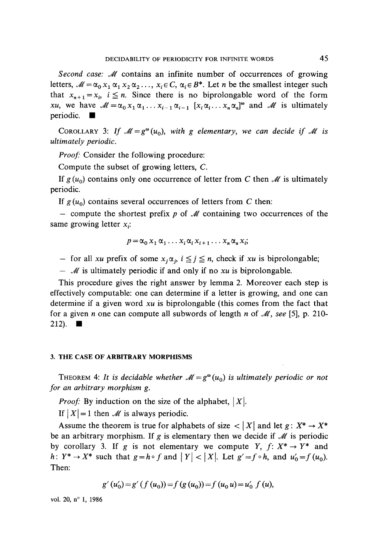Second case: M contains an infinite number of occurrences of growing letters,  $\mathcal{M} = \alpha_0 x_1 \alpha_1 x_2 \alpha_2 \ldots, x_i \in C$ ,  $\alpha_i \in B^*$ . Let *n* be the smallest integer such that  $x_{n+1} = x_i$ ,  $i \leq n$ . Since there is no biprolongable word of the form *xu*, we have  $\mathcal{M} = \alpha_0 x_1 \alpha_1 \ldots x_{i-1} \alpha_{i-1} [x_i \alpha_i \ldots x_n \alpha_n]^{\omega}$  and  $\mathcal{M}$  is ultimately periodic.  $\blacksquare$ 

COROLLARY 3: If  $\mathcal{M} = g^{\omega}(u_0)$ , with g elementary, we can decide if  $\mathcal{M}$  is *ultimately periodic,*

*Proof:* Consider the following procedure:

Compute the subset of growing letters, C.

If  $g(u_0)$  contains only one occurrence of letter from C then  $\mathcal M$  is ultimately periodic.

If  $g(u_0)$  contains several occurrences of letters from C then:

— compute the shortest prefix *p* of *JU* containing two occurrences of the same growing letter *xt:*

$$
p = \alpha_0 \, x_1 \, \alpha_1 \, \dots \, x_i \, \alpha_i \, x_{i+1} \, \dots \, x_n \, \alpha_n \, x_i;
$$

 $-$  for all *xu* prefix of some  $x_j \alpha_j$ ,  $i \leq j \leq n$ , check if *xu* is biprolongable;

— *M* is ultimately periodic if and only if no *xu* is biprolongable.

This procedure gives the right answer by lemma 2. Moreover each step is effectively computable: one can détermine if a letter is growing, and one can determine if a given word xu is biprolongable (this comes from the fact that for a given *n* one can compute all subwords of length *n* of *M^ see [5],* p. 210-  $212$ ).  $\blacksquare$ 

### **3. THE CASE OF ARBITRARY MORPHISMS**

THEOREM 4: It is decidable whether  $\mathcal{M} = g^{\omega}(u_0)$  is ultimately periodic or not *for an arbitrary morphism g.*

*Proof:* By induction on the size of the alphabet,  $|X|$ .

If  $|X| = 1$  then *M* is always periodic.

Assume the theorem is true for alphabets of size  $\langle X \rangle$  and let  $g : X^* \to X^*$ be an arbitrary morphism. If *g* is elementary then we décide if *M* is periodic by corollary 3. If g is not elementary we compute *Y*,  $f: X^* \to Y^*$  and *h*:  $Y^* \rightarrow X^*$  such that  $g = h \circ f$  and  $|Y| < |X|$ . Let  $g' = f \circ h$ , and  $u'_0 = f(u_0)$ . Then:

$$
g'(u'_0) = g'(f(u_0)) = f(g(u_0)) = f(u_0 u) = u'_0 f(u),
$$

**vol. 20, n° 1, 1986**